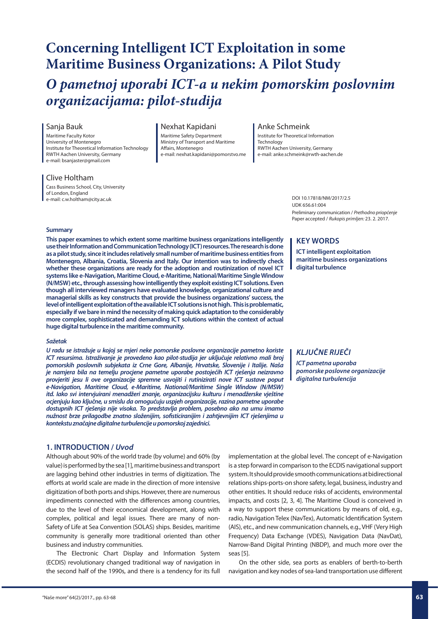business and industry communities.

The Electronic Chart Display and Information System (ECDIS) revolutionary changed traditional way of navigation in the second half of the 1990s, and there is a tendency for its full

# *O pametnoj uporabi ICT-a u nekim pomorskim poslovnim*

Sanja Bauk

Maritime Faculty Kotor University of Montenegro Institute for Theoretical Information Technology RWTH Aachen University, Germany e-mail: bsanjaster@gmail.com

*organizacijama: pilot-studija* 

#### Clive Holtham

Cass Business School, City, University of London, England e-mail: c.w.holtham@city.ac.uk

#### Nexhat Kapidani

**Concerning Intelligent ICT Exploitation in some** 

**Maritime Business Organizations: A Pilot Study**

Maritime Safety Department Ministry of Transport and Maritime Affairs, Montenegro e-mail: nexhat.kapidani@pomorstvo.me

#### Anke Schmeink

Institute for Theoretical Information Technology RWTH Aachen University, Germany e-mail: anke.schmeink@rwth-aachen.de

> DOI 10.17818/NM/2017/2.5 UDK 656.61:004 Preliminary communication / *Prethodno priopćenje* Paper accepted / *Rukopis primljen:* 23. 2. 2017.

### **Summary**

**This paper examines to which extent some maritime business organizations intelligently use their Information and Communication Technology (ICT) resources. The research is done as a pilot study, since it includes relatively small number of maritime business entities from Montenegro, Albania, Croatia, Slovenia and Italy. Our intention was to indirectly check whether these organizations are ready for the adoption and routinization of novel ICT systems like e-Navigation, Maritime Cloud, e-Maritime, National/Maritime Single Window (N/MSW) etc., through assessing how intelligently they exploit existing ICT solutions. Even though all interviewed managers have evaluated knowledge, organizational culture and managerial skills as key constructs that provide the business organizations' success, the level of intelligent exploitation of the available ICT solutions is not high. This is problematic, especially if we bare in mind the necessity of making quick adaptation to the considerably more complex, sophisticated and demanding ICT solutions within the context of actual huge digital turbulence in the maritime community.** 

#### *Sažetak*

*U radu se istražuje u kojoj se mjeri neke pomorske poslovne organizacije pametno koriste ICT resursima. Istraživanje je provedeno kao pilot-studija jer uključuje relativno mali broj pomorskih poslovnih subjekata iz Crne Gore, Albanije, Hrvatske, Slovenije i Italije. Naša je namjera bila na temelju procjene pametne uporabe postojećih ICT rješenja neizravno provjeriti jesu li ove organizacije spremne usvojiti i rutinizirati nove ICT sustave poput e-Navigation, Maritime Cloud, e-Maritime, National/Maritime Single Window (N/MSW) itd. Iako svi intervjuirani menadžeri znanje, organizacijsku kulturu i menadžerske vještine ocjenjuju kao ključne, u smislu da omogućuju uspjeh organizacije, razina pametne uporabe dostupnih ICT rješenja nije visoka. To predstavlja problem, posebno ako na umu imamo nužnost brze prilagodbe znatno složenijim, sofisticiranijim i zahtjevnijim ICT rješenjima u kontekstu značajne digitalne turbulencije u pomorskoj zajednici.*

#### **1. INTRODUCTION /** *Uvod*

Although about 90% of the world trade (by volume) and 60% (by value) is performed by the sea [1], maritime business and transport are lagging behind other industries in terms of digitization. The efforts at world scale are made in the direction of more intensive digitization of both ports and ships. However, there are numerous impediments connected with the differences among countries, due to the level of their economical development, along with complex, political and legal issues. There are many of non-Safety of Life at Sea Convention (SOLAS) ships. Besides, maritime community is generally more traditional oriented than other

#### **ICT intelligent exploitation maritime business organizations digital turbulence**

**KEY WORDS**

# *KLJUČNE RIJEČI*

*ICT pametna uporaba pomorske poslovne organizacije digitalna turbulencija*

implementation at the global level. The concept of e-Navigation is a step forward in comparison to the ECDIS navigational support system. It should provide smooth communications at bidirectional relations ships-ports-on shore safety, legal, business, industry and other entities. It should reduce risks of accidents, environmental impacts, and costs [2, 3, 4]. The Maritime Cloud is conceived in a way to support these communications by means of old, e.g., radio, Navigation Telex (NavTex), Automatic Identification System (AIS), etc., and new communication channels, e.g., VHF (Very High Frequency) Data Exchange (VDES), Navigation Data (NavDat), Narrow-Band Digital Printing (NBDP), and much more over the seas [5].

On the other side, sea ports as enablers of berth-to-berth navigation and key nodes of sea-land transportation use different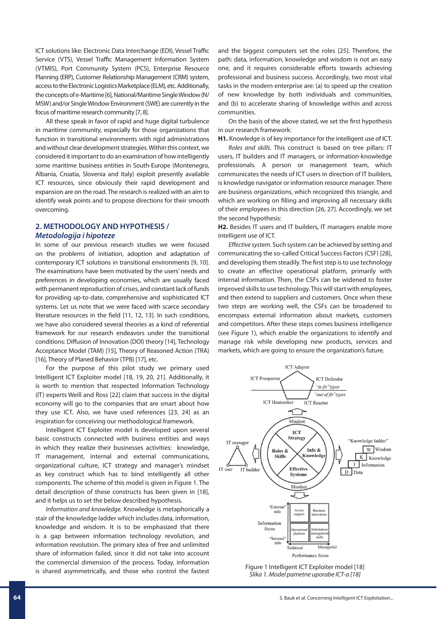ICT solutions like: Electronic Data Interchange (EDI), Vessel Traffic Service (VTS), Vessel Traffic Management Information System (VTMIS), Port Community System (PCS), Enterprise Resource Planning (ERP), Customer Relationship Management (CRM) system, access to the Electronic Logistics Marketplace (ELM), etc. Additionally, the concepts of e-Maritime [6], National/Maritime Single Window (N/ MSW) and/or Single Window Environment (SWE) are currently in the focus of maritime research community [7, 8].

All these speak in favor of rapid and huge digital turbulence in maritime community, especially for those organizations that function in transitional environments with rigid administrations and without clear development strategies. Within this context, we considered it important to do an examination of how intelligently some maritime business entities in South-Europe (Montenegro, Albania, Croatia, Slovenia and Italy) exploit presently available ICT resources, since obviously their rapid development and expansion are on the road. The research is realized with an aim to identify weak points and to propose directions for their smooth overcoming.

### **2. METHODOLOGY AND HYPOTHESIS /**  *Metodologija i hipoteze*

In some of our previous research studies we were focused on the problems of initiation, adoption and adaptation of contemporary ICT solutions in transitional environments [9, 10]. The examinations have been motivated by the users' needs and preferences in developing economies, which are usually faced with permanent reproduction of crises, and constant lack of funds for providing up-to-date, comprehensive and sophisticated ICT systems. Let us note that we were faced with scarce secondary literature resources in the field [11, 12, 13]. In such conditions, we have also considered several theories as a kind of referential framework for our research endeavors under the transitional conditions: Diffusion of Innovation (DOI) theory [14], Technology Acceptance Model (TAM) [15], Theory of Reasoned Action (TRA) [16], Theory of Planed Behavior (TPB) [17], etc.

For the purpose of this pilot study we primary used Intelligent ICT Exploiter model [18, 19, 20, 21]. Additionally, it is worth to mention that respected Information Technology (IT) experts Weill and Ross [22] claim that success in the digital economy will go to the companies that are smart about how they use ICT. Also, we have used references [23, 24] as an inspiration for conceiving our methodological framework.

Intelligent ICT Exploiter model is developed upon several basic constructs connected with business entities and ways in which they realize their businesses activities: knowledge, IT management, internal and external communications, organizational culture, ICT strategy and manager's mindset as key construct which has to bind intelligently all other components. The scheme of this model is given in Figure 1. The detail description of these constructs has been given in [18], and it helps us to set the below described hypothesis.

*Information and knowledge.* Knowledge is metaphorically a stair of the knowledge ladder which includes data, information, knowledge and wisdom. It is to be emphasized that there is a gap between information technology revolution, and information revolution. The primary idea of free and unlimited share of information failed, since it did not take into account the commercial dimension of the process. Today, information is shared asymmetrically, and those who control the fastest and the biggest computers set the roles [25]. Therefore, the path: data, information, knowledge and wisdom is not an easy one, and it requires considerable efforts towards achieving professional and business success. Accordingly, two most vital tasks in the modern enterprise are: (a) to speed up the creation of new knowledge by both individuals and communities, and (b) to accelerate sharing of knowledge within and across communities.

On the basis of the above stated, we set the first hypothesis in our research framework:

**H1.** Knowledge is of key importance for the intelligent use of ICT.

*Roles and skills.* This construct is based on tree pillars: IT users, IT builders and IT managers, or information-knowledge professionals. A person or management team, which communicates the needs of ICT users in direction of IT builders, is knowledge navigator or information resource manager. There are business organizations, which recognized this triangle, and which are working on filling and improving all necessary skills of their employees in this direction [26, 27]. Accordingly, we set the second hypothesis:

**H2.** Besides IT users and IT builders, IT managers enable more intelligent use of ICT.

*Effective system.* Such system can be achieved by setting and communicating the so-called Critical Success Factors (CSF) [28], and developing them steadily. The first step is to use technology to create an effective operational platform, primarily with internal information. Then, the CSFs can be widened to foster improved skills to use technology. This will start with employees, and then extend to suppliers and customers. Once when these two steps are working well, the CSFs can be broadened to encompass external information about markets, customers and competitors. After these steps comes business intelligence (see Figure 1), which enable the organizations to identify and manage risk while developing new products, services and markets, which are going to ensure the organization's future.



Figure 1 Intelligent ICT Exploiter model [18] *Slika 1. Model pametne uporabe ICT-a [18]*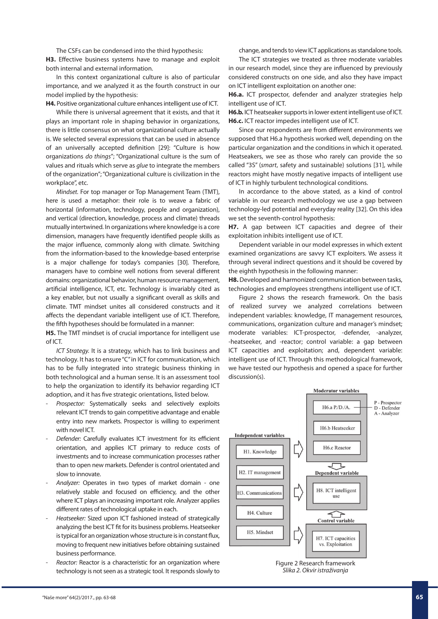The CSFs can be condensed into the third hypothesis:

**H3.** Effective business systems have to manage and exploit both internal and external information.

In this context organizational culture is also of particular importance, and we analyzed it as the fourth construct in our model implied by the hypothesis:

**H4.** Positive organizational culture enhances intelligent use of ICT.

While there is universal agreement that it exists, and that it plays an important role in shaping behavior in organizations, there is little consensus on what organizational culture actually is. We selected several expressions that can be used in absence of an universally accepted definition [29]: "Culture is how organizations *do things*"; "Organizational culture is the sum of values and rituals which serve as *glue* to integrate the members of the organization"; "Organizational culture is civilization in the workplace", etc.

*Mindset.* For top manager or Top Management Team (TMT), here is used a metaphor: their role is to weave a fabric of horizontal (information, technology, people and organization), and vertical (direction, knowledge, process and climate) threads mutually intertwined. In organizations where knowledge is a core dimension, managers have frequently identified people skills as the major influence, commonly along with climate. Switching from the information-based to the knowledge-based enterprise is a major challenge for today's companies [30]. Therefore, managers have to combine well notions from several different domains: organizational behavior, human resource management, artificial intelligence, ICT, etc. Technology is invariably cited as a key enabler, but not usually a significant overall as skills and climate. TMT mindset unites all considered constructs and it affects the dependant variable intelligent use of ICT. Therefore, the fifth hypotheses should be formulated in a manner:

**H5.** The TMT mindset is of crucial importance for intelligent use of ICT.

*ICT Strategy.* It is a strategy, which has to link business and technology. It has to ensure "C" in ICT for communication, which has to be fully integrated into strategic business thinking in both technological and a human sense. It is an assessment tool to help the organization to identify its behavior regarding ICT adoption, and it has five strategic orientations, listed below.

- Prospector: Systematically seeks and selectively exploits relevant ICT trends to gain competitive advantage and enable entry into new markets. Prospector is willing to experiment with novel ICT
- *Defender:* Carefully evaluates ICT investment for its efficient orientation, and applies ICT primary to reduce costs of investments and to increase communication processes rather than to open new markets. Defender is control orientated and slow to innovate.
- *Analyzer:* Operates in two types of market domain one relatively stable and focused on efficiency, and the other where ICT plays an increasing important role. Analyzer applies different rates of technological uptake in each.
- *Heatseeker:* Sized upon ICT fashioned instead of strategically analyzing the best ICT fit for its business problems. Heatseeker is typical for an organization whose structure is in constant flux, moving to frequent new initiatives before obtaining sustained business performance.
- *Reactor:* Reactor is a characteristic for an organization where technology is not seen as a strategic tool. It responds slowly to

change, and tends to view ICT applications as standalone tools.

The ICT strategies we treated as three moderate variables in our research model, since they are influenced by previously considered constructs on one side, and also they have impact on ICT intelligent exploitation on another one:

**H6.a.** ICT prospector, defender and analyzer strategies help intelligent use of ICT.

**H6.b.** ICT heatseaker supports in lower extent intelligent use of ICT. **H6.c.** ICT reactor impedes intelligent use of ICT.

Since our respondents are from different environments we supposed that H6.a hypothesis worked well, depending on the particular organization and the conditions in which it operated. Heatseakers, we see as those who rarely can provide the so called "3S" (*smart*, safety and sustainable) solutions [31], while reactors might have mostly negative impacts of intelligent use of ICT in highly turbulent technological conditions.

In accordance to the above stated, as a kind of control variable in our research methodology we use a gap between technology-led potential and everyday reality [32]. On this idea we set the seventh-control hypothesis:

**H7.** A gap between ICT capacities and degree of their exploitation inhibits intelligent use of ICT.

Dependent variable in our model expresses in which extent examined organizations are savvy ICT exploiters. We assess it through several indirect questions and it should be covered by the eighth hypothesis in the following manner:

**H8.** Developed and harmonized communication between tasks, technologies and employees strengthens intelligent use of ICT.

Figure 2 shows the research framework. On the basis of realized survey we analyzed correlations between independent variables: knowledge, IT management resources, communications, organization culture and manager's mindset; moderate variables: ICT-prospector, -defender, -analyzer, -heatseeker, and -reactor; control variable: a gap between ICT capacities and exploitation; and, dependent variable: intelligent use of ICT. Through this methodological framework, we have tested our hypothesis and opened a space for further discussion(s).



Figure 2 Research framework *Slika 2. Okvir istraživanja*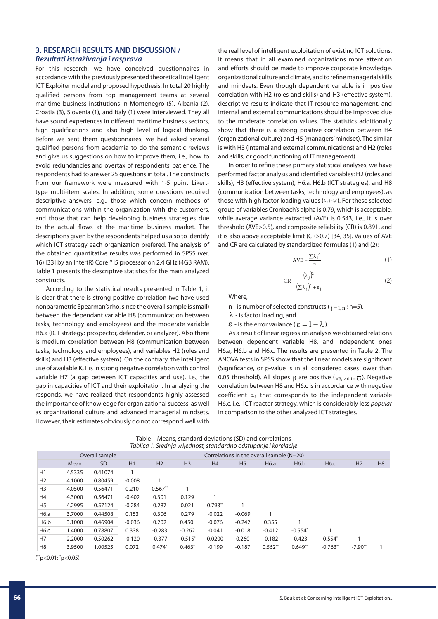## **3. RESEARCH RESULTS AND DISCUSSION /**  *Rezultati istraživanja i rasprava*

For this research, we have conceived questionnaires in accordance with the previously presented theoretical Intelligent ICT Exploiter model and proposed hypothesis. In total 20 highly qualified persons from top management teams at several maritime business institutions in Montenegro (5), Albania (2), Croatia (3), Slovenia (1), and Italy (1) were interviewed. They all have sound experiences in different maritime business sectors, high qualifications and also high level of logical thinking. Before we sent them questionnaires, we had asked several qualified persons from academia to do the semantic reviews and give us suggestions on how to improve them, i.e., how to avoid redundancies and overtax of respondents' patience. The respondents had to answer 25 questions in total. The constructs from our framework were measured with 1-5 point Likerttype multi-item scales. In addition, some questions required descriptive answers, e.g., those which concern methods of communications within the organization with the customers, and those that can help developing business strategies due to the actual flows at the maritime business market. The descriptions given by the respondents helped us also to identify which ICT strategy each organization prefered. The analysis of the obtained quantitative results was performed in SPSS (ver. 16) [33] by an Inter(R) Core™ i5 processor on 2.4 GHz (4GB RAM). Table 1 presents the descriptive statistics for the main analyzed constructs.

According to the statistical results presented in Table 1, it is clear that there is strong positive correlation (we have used nonparametric Spearman's rho, since the overall sample is small) between the dependant variable H8 (communication between tasks, technology and employees) and the moderate variable H6.a (ICT strategy: prospector, defender, or analyzer). Also there is medium correlation between H8 (communication between tasks, technology and employees), and variables H2 (roles and skills) and H3 (effective system). On the contrary, the intelligent use of available ICT is in strong negative correlation with control variable H7 (a gap between ICT capacities and use), i.e., the gap in capacities of ICT and their exploitation. In analyzing the responds, we have realized that respondents highly assessed the importance of knowledge for organizational success, as well as organizational culture and advanced managerial mindsets. However, their estimates obviously do not correspond well with the real level of intelligent exploitation of existing ICT solutions. It means that in all examined organizations more attention and efforts should be made to improve corporate knowledge, organizational culture and climate, and to refine managerial skills and mindsets. Even though dependent variable is in positive correlation with H2 (roles and skills) and H3 (effective system), descriptive results indicate that IT resource management, and internal and external communications should be improved due to the moderate correlation values. The statistics additionally show that there is a strong positive correlation between H4 (organizational culture) and H5 (managers' mindset). The similar is with H3 (internal and external communications) and H2 (roles and skills, or good functioning of IT management).

In order to refine these primary statistical analyses, we have performed factor analysis and identified variables: H2 (roles and skills), H3 (effective system), H6.a, H6.b (ICT strategies), and H8 (communication between tasks, technology and employees), as those with high factor loading values ( $\lambda_p$ ,  $j = 1,5$ ). For these selected group of variables Cronbach's alpha is 0.79, which is acceptable, while average variance extracted (AVE) is 0.543, i.e., it is over threshold (AVE>0.5), and composite reliability (CR) is 0.891, and it is also above acceptable limit (CR>0.7) [34, 35]. Values of AVE and CR are calculated by standardized formulas (1) and (2):

$$
AVE = \frac{\sum \lambda_j^2}{n}
$$
 (1)

$$
CR = \frac{(\lambda_j)^2}{(\Sigma \lambda_j)^2 + \varepsilon_j}
$$
 (2)

Where,

n - is number of selected constructs ( $i = \overline{1,n}$ ; n=5),

λ - is factor loading, and

 $\epsilon$  - is the error variance ( $\epsilon = 1 - \lambda$ ).

As a result of linear regression analysis we obtained relations between dependent variable H8, and independent ones H6.a, H6.b and H6.c. The results are presented in Table 2. The ANOVA tests in SPSS show that the linear models are significant (Significance, or p-value is in all considered cases lower than 0.05 threshold). All slopes  $\beta$  are positive ( $\forall \beta \geq 0$  i=13). Negative correlation between H8 and H6.c is in accordance with negative coefficient  $\alpha_3$  that corresponds to the independent variable H6.c, i.e., ICT reactor strategy, which is considerably less *popular* in comparison to the other analyzed ICT strategies.

| Table 1 Means, standard deviations (SD) and correlations          |
|-------------------------------------------------------------------|
| Tablica 1. Srednja vrijednost, standardno odstupanje i korelacije |

|                | Overall sample |           |          | Correlations in the overall sample $(N=20)$ |                |           |                |           |           |            |           |                |
|----------------|----------------|-----------|----------|---------------------------------------------|----------------|-----------|----------------|-----------|-----------|------------|-----------|----------------|
|                | Mean           | <b>SD</b> | H1       | H2                                          | H <sub>3</sub> | H4        | H <sub>5</sub> | H6.a      | H6.b      | H6.c       | H7        | H <sub>8</sub> |
| H1             | 4.5335         | 0.41074   |          |                                             |                |           |                |           |           |            |           |                |
| H <sub>2</sub> | 4.1000         | 0.80459   | $-0.008$ |                                             |                |           |                |           |           |            |           |                |
| H <sub>3</sub> | 4.0500         | 0.56471   | 0.210    | $0.567**$                                   |                |           |                |           |           |            |           |                |
| H4             | 4.3000         | 0.56471   | $-0.402$ | 0.301                                       | 0.129          |           |                |           |           |            |           |                |
| H <sub>5</sub> | 4.2995         | 0.57124   | $-0.284$ | 0.287                                       | 0.021          | $0.793**$ |                |           |           |            |           |                |
| H6.a           | 3.7000         | 0.44508   | 0.153    | 0.306                                       | 0.279          | $-0.022$  | $-0.069$       |           |           |            |           |                |
| H6.b           | 3.1000         | 0.46904   | $-0.036$ | 0.202                                       | $0.450*$       | $-0.076$  | $-0.242$       | 0.355     |           |            |           |                |
| H6.c           | 1.4000         | 0.78807   | 0.338    | $-0.283$                                    | $-0.262$       | $-0.041$  | $-0.018$       | $-0.412$  | $-0.554*$ |            |           |                |
| H7             | 2.2000         | 0.50262   | $-0.120$ | $-0.377$                                    | $-0.515*$      | 0.0200    | 0.260          | $-0.182$  | $-0.423$  | $0.554*$   |           |                |
| H <sub>8</sub> | 3.9500         | 1.00525   | 0.072    | $0.474*$                                    | $0.463*$       | $-0.199$  | $-0.187$       | $0.562**$ | $0.649**$ | $-0.763**$ | $-7.90**$ |                |

( \*\*p<0.01; \* p<0.05)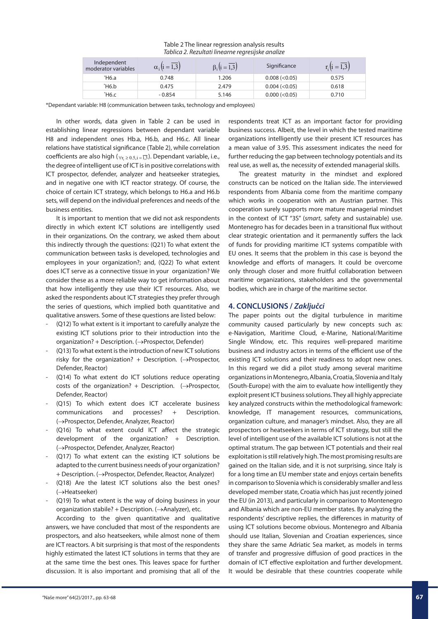| raonca 2: nezantati inicarile regresijske arianze |                              |                                  |                     |                           |  |  |  |  |  |
|---------------------------------------------------|------------------------------|----------------------------------|---------------------|---------------------------|--|--|--|--|--|
| Independent<br>moderator variables                | $\alpha_i(i=\overline{1,3})$ | $\beta_i$ $(i = \overline{1,3})$ | Significance        | $r_i(i = \overline{1,3})$ |  |  |  |  |  |
| *H6.a                                             | 0.748                        | 1.206                            | 0.008 (< 0.05)      | 0.575                     |  |  |  |  |  |
| Ή6.b                                              | 0.475                        | 2.479                            | $0.004 \, (< 0.05)$ | 0.618                     |  |  |  |  |  |
| *Н6.с                                             | $-0.854$                     | 5.146                            | 0.000 (< 0.05)      | 0.710                     |  |  |  |  |  |

#### Table 2 The linear regression analysis results *Tablica 2. Rezultati linearne regresijske analize*

\*Dependant variable: H8 (communication between tasks, technology and employees)

In other words, data given in Table 2 can be used in establishing linear regressions between dependant variable H8 and independent ones Hb.a, H6.b, and H6.c. All linear relations have statistical significance (Table 2), while correlation coefficients are also high ( $\forall$ r<sub>i</sub> ≥ 0.5,i = 1,3</sub>). Dependant variable, i.e., the degree of intelligent use of ICT is in positive correlations with ICT prospector, defender, analyzer and heatseeker strategies, and in negative one with ICT reactor strategy. Of course, the choice of certain ICT strategy, which belongs to H6.a and H6.b sets, will depend on the individual preferences and needs of the business entities.

It is important to mention that we did not ask respondents directly in which extent ICT solutions are intelligently used in their organizations. On the contrary, we asked them about this indirectly through the questions: (Q21) To what extent the communication between tasks is developed, technologies and employees in your organization?; and, (Q22) To what extent does ICT serve as a connective tissue in your organization? We consider these as a more reliable way to get information about that how intelligently they use their ICT resources. Also, we asked the respondents about ICT strategies they prefer through the series of questions, which implied both quantitative and qualitative answers. Some of these questions are listed below:

- (Q12) To what extent is it important to carefully analyze the existing ICT solutions prior to their introduction into the organization? + Description. (→Prospector, Defender)
- (Q13) To what extent is the introduction of new ICT solutions risky for the organization? + Description.  $(\rightarrow)$ Prospector, Defender, Reactor)
- (Q14) To what extent do ICT solutions reduce operating costs of the organization? + Description.  $(\rightarrow)$ Prospector, Defender, Reactor)
- (Q15) To which extent does ICT accelerate business communications and processes? + Description. (→Prospector, Defender, Analyzer, Reactor)
- (Q16) To what extent could ICT affect the strategic development of the organization? + Description. (→Prospector, Defender, Analyzer, Reactor)
- (Q17) To what extent can the existing ICT solutions be adapted to the current business needs of your organization? + Description. (→Prospector, Defender, Reactor, Analyzer)
- (Q18) Are the latest ICT solutions also the best ones? (→Heatseeker)
- (Q19) To what extent is the way of doing business in your organization stabile? + Description. (→Analyzer), etc.

According to the given quantitative and qualitative answers, we have concluded that most of the respondents are prospectors, and also heatseekers, while almost none of them are ICT reactors. A bit surprising is that most of the respondents highly estimated the latest ICT solutions in terms that they are at the same time the best ones. This leaves space for further discussion. It is also important and promising that all of the respondents treat ICT as an important factor for providing business success. Albeit, the level in which the tested maritime organizations intelligently use their present ICT resources has a mean value of 3.95. This assessment indicates the need for further reducing the gap between technology potentials and its real use, as well as, the necessity of extended managerial skills.

The greatest maturity in the mindset and explored constructs can be noticed on the Italian side. The interviewed respondents from Albania come from the maritime company which works in cooperation with an Austrian partner. This cooperation surely supports more mature managerial mindset in the context of ICT "3S" (*smart*, safety and sustainable) use. Montenegro has for decades been in a transitional flux without clear strategic orientation and it permanently suffers the lack of funds for providing maritime ICT systems compatible with EU ones. It seems that the problem in this case is beyond the knowledge and efforts of managers. It could be overcome only through closer and more fruitful collaboration between maritime organizations, stakeholders and the governmental bodies, which are in charge of the maritime sector.

# **4. CONCLUSIONS /** *Zaključci*

The paper points out the digital turbulence in maritime community caused particularly by new concepts such as: e-Navigation, Maritime Cloud, e-Marine, National/Maritime Single Window, etc. This requires well-prepared maritime business and industry actors in terms of the efficient use of the existing ICT solutions and their readiness to adopt new ones. In this regard we did a pilot study among several maritime organizations in Montenegro, Albania, Croatia, Slovenia and Italy (South-Europe) with the aim to evaluate how intelligently they exploit present ICT business solutions. They all highly appreciate key analyzed constructs within the methodological framework: knowledge, IT management resources, communications, organization culture, and manager's mindset. Also, they are all prospectors or heatseekers in terms of ICT strategy, but still the level of intelligent use of the available ICT solutions is not at the optimal stratum. The gap between ICT potentials and their real exploitation is still relatively high. The most promising results are gained on the Italian side, and it is not surprising, since Italy is for a long time an EU member state and enjoys certain benefits in comparison to Slovenia which is considerably smaller and less developed member state, Croatia which has just recently joined the EU (in 2013), and particularly in comparison to Montenegro and Albania which are non-EU member states. By analyzing the respondents' descriptive replies, the differences in maturity of using ICT solutions become obvious. Montenegro and Albania should use Italian, Slovenian and Croatian experiences, since they share the same Adriatic Sea market, as models in terms of transfer and progressive diffusion of good practices in the domain of ICT effective exploitation and further development. It would be desirable that these countries cooperate while